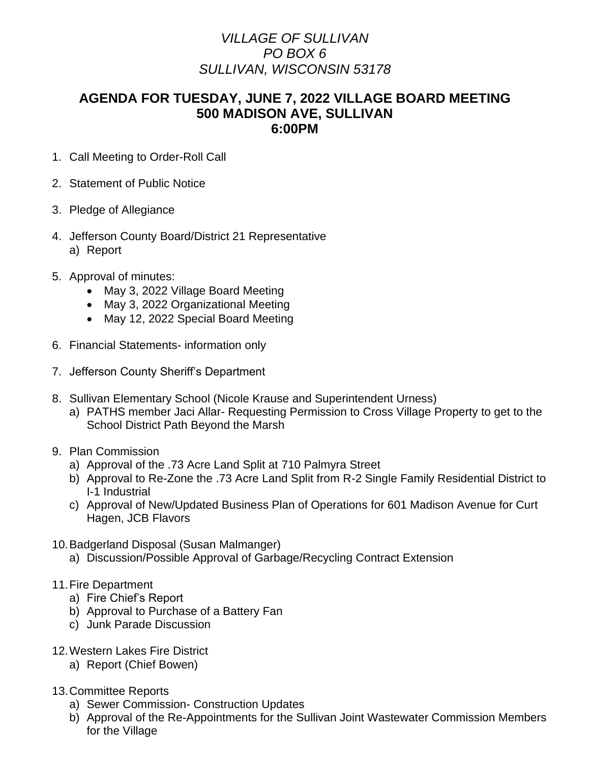## *VILLAGE OF SULLIVAN PO BOX 6 SULLIVAN, WISCONSIN 53178*

## **AGENDA FOR TUESDAY, JUNE 7, 2022 VILLAGE BOARD MEETING 500 MADISON AVE, SULLIVAN 6:00PM**

- 1. Call Meeting to Order-Roll Call
- 2. Statement of Public Notice
- 3. Pledge of Allegiance
- 4. Jefferson County Board/District 21 Representative a) Report
- 5. Approval of minutes:
	- May 3, 2022 Village Board Meeting
	- May 3, 2022 Organizational Meeting
	- May 12, 2022 Special Board Meeting
- 6. Financial Statements- information only
- 7. Jefferson County Sheriff's Department
- 8. Sullivan Elementary School (Nicole Krause and Superintendent Urness)
	- a) PATHS member Jaci Allar- Requesting Permission to Cross Village Property to get to the School District Path Beyond the Marsh
- 9. Plan Commission
	- a) Approval of the .73 Acre Land Split at 710 Palmyra Street
	- b) Approval to Re-Zone the .73 Acre Land Split from R-2 Single Family Residential District to I-1 Industrial
	- c) Approval of New/Updated Business Plan of Operations for 601 Madison Avenue for Curt Hagen, JCB Flavors
- 10.Badgerland Disposal (Susan Malmanger)
	- a) Discussion/Possible Approval of Garbage/Recycling Contract Extension
- 11.Fire Department
	- a) Fire Chief's Report
	- b) Approval to Purchase of a Battery Fan
	- c) Junk Parade Discussion
- 12.Western Lakes Fire District
	- a) Report (Chief Bowen)
- 13.Committee Reports
	- a) Sewer Commission- Construction Updates
	- b) Approval of the Re-Appointments for the Sullivan Joint Wastewater Commission Members for the Village